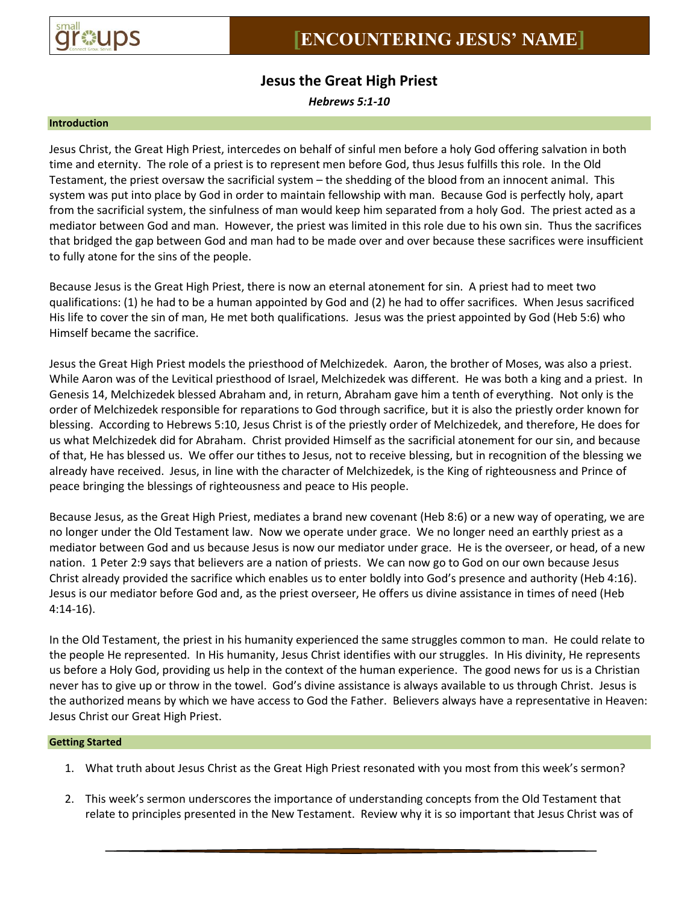

# **Jesus the Great High Priest**

*Hebrews 5:1-10*

### **Introduction**

Jesus Christ, the Great High Priest, intercedes on behalf of sinful men before a holy God offering salvation in both time and eternity. The role of a priest is to represent men before God, thus Jesus fulfills this role. In the Old Testament, the priest oversaw the sacrificial system – the shedding of the blood from an innocent animal. This system was put into place by God in order to maintain fellowship with man. Because God is perfectly holy, apart from the sacrificial system, the sinfulness of man would keep him separated from a holy God. The priest acted as a mediator between God and man. However, the priest was limited in this role due to his own sin. Thus the sacrifices that bridged the gap between God and man had to be made over and over because these sacrifices were insufficient to fully atone for the sins of the people.

Because Jesus is the Great High Priest, there is now an eternal atonement for sin. A priest had to meet two qualifications: (1) he had to be a human appointed by God and (2) he had to offer sacrifices. When Jesus sacrificed His life to cover the sin of man, He met both qualifications. Jesus was the priest appointed by God (Heb 5:6) who Himself became the sacrifice.

Jesus the Great High Priest models the priesthood of Melchizedek. Aaron, the brother of Moses, was also a priest. While Aaron was of the Levitical priesthood of Israel, Melchizedek was different. He was both a king and a priest. In Genesis 14, Melchizedek blessed Abraham and, in return, Abraham gave him a tenth of everything. Not only is the order of Melchizedek responsible for reparations to God through sacrifice, but it is also the priestly order known for blessing. According to Hebrews 5:10, Jesus Christ is of the priestly order of Melchizedek, and therefore, He does for us what Melchizedek did for Abraham. Christ provided Himself as the sacrificial atonement for our sin, and because of that, He has blessed us. We offer our tithes to Jesus, not to receive blessing, but in recognition of the blessing we already have received. Jesus, in line with the character of Melchizedek, is the King of righteousness and Prince of peace bringing the blessings of righteousness and peace to His people.

Because Jesus, as the Great High Priest, mediates a brand new covenant (Heb 8:6) or a new way of operating, we are no longer under the Old Testament law. Now we operate under grace. We no longer need an earthly priest as a mediator between God and us because Jesus is now our mediator under grace. He is the overseer, or head, of a new nation. 1 Peter 2:9 says that believers are a nation of priests. We can now go to God on our own because Jesus Christ already provided the sacrifice which enables us to enter boldly into God's presence and authority (Heb 4:16). Jesus is our mediator before God and, as the priest overseer, He offers us divine assistance in times of need (Heb 4:14-16).

In the Old Testament, the priest in his humanity experienced the same struggles common to man. He could relate to the people He represented. In His humanity, Jesus Christ identifies with our struggles. In His divinity, He represents us before a Holy God, providing us help in the context of the human experience. The good news for us is a Christian never has to give up or throw in the towel. God's divine assistance is always available to us through Christ. Jesus is the authorized means by which we have access to God the Father. Believers always have a representative in Heaven: Jesus Christ our Great High Priest.

## **Getting Started**

- 1. What truth about Jesus Christ as the Great High Priest resonated with you most from this week's sermon?
- 2. This week's sermon underscores the importance of understanding concepts from the Old Testament that relate to principles presented in the New Testament. Review why it is so important that Jesus Christ was of